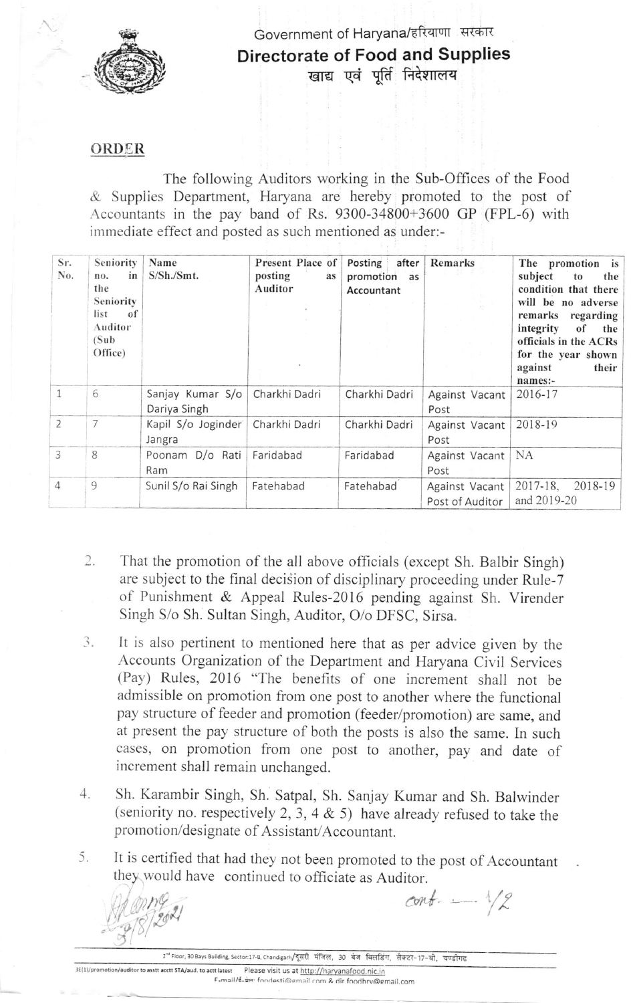

Government of Haryana/हरियाणा सरकार Directorate of Food and Supplies खाद्य एवं पूर्ति निदेशालय

## ORDER

The following Auditors working in the Sub-Offices of the Food & Suppiies Department, Haryana are hereby promoted to the post of .Accountants in the pay band of Rs. 9300-34800+3600 GP (FPL-6) with immediate effect and posted as such mentioned as under:-

| Sr.<br>No.     | Seniority<br>in<br>no.<br>the<br>Seniority<br>list<br>-of<br>Auditor<br>(Sub)<br>Office) | Name<br>S/Sh./Smt.               | Present Place of<br>posting<br>as<br>Auditor | Posting<br>after<br>promotion<br>as<br>Accountant | Remarks                           | The promotion is<br>subject<br>the<br>to<br>condition that there<br>will be no adverse<br>remarks<br>regarding<br>integrity<br>of<br>the<br>officials in the ACRs<br>for the year shown<br>against<br>their<br>names:- |
|----------------|------------------------------------------------------------------------------------------|----------------------------------|----------------------------------------------|---------------------------------------------------|-----------------------------------|------------------------------------------------------------------------------------------------------------------------------------------------------------------------------------------------------------------------|
|                | 6                                                                                        | Sanjay Kumar S/o<br>Dariya Singh | Charkhi Dadri                                | Charkhi Dadri                                     | Against Vacant<br>Post            | 2016-17                                                                                                                                                                                                                |
| $\overline{2}$ | 7                                                                                        | Kapil S/o Joginder<br>Jangra     | Charkhi Dadri                                | Charkhi Dadri                                     | Against Vacant<br>Post            | 2018-19                                                                                                                                                                                                                |
| $\overline{3}$ | 8                                                                                        | Poonam D/o Rati<br>Ram           | Faridabad                                    | Faridabad                                         | Against Vacant<br>Post            | <b>NA</b>                                                                                                                                                                                                              |
| $\overline{4}$ | 9                                                                                        | Sunil S/o Rai Singh              | Fatehabad                                    | Fatehabad                                         | Against Vacant<br>Post of Auditor | 2017-18.<br>2018-19<br>and 2019-20                                                                                                                                                                                     |

- That the promotion of the all above officials (except Sh. Balbir Singh) are subject to the final decision of disciplinary proceeding under Rule-7 of Punishment & Appeal Ruies-2016 pending against Sh. Virender Singh S/o Sh. Sultan Singh, Auditor, O/o DFSC, Sirsa.  $2.$
- 3. It is also pertinent to mentioned here that as per advice given by the Accounts Organization of the Department and Haryana Civil Services (Pay) Rules, 2016 "The benefits of one increment shall not be admissible on promotion from one post to another where the functional pay structure of feeder and promotion (feeder/promotion) are same, and at present the pay structure of both the posts is also the same. In such cases, on promotion from one post to another, pay and date of increment shall remain unchanged.
- Sh. Karambir Singh, Sh. Satpal, Sh. Sanjay Kumar and Sh. Balwinder (seniority no. respectively 2, 3, 4  $\&$  5) have already refused to take the promotion/designate of Assistant/Accountant.  $4.$
- It is certified that had they not been promoted to the post of Accountant they would have continued to officiate as Auditor. 5.

 $cont -$ /?

2<sup>nd</sup> Floor, 30 Bays Building, Sector:17-B, Chandigarh/दूसरी मंजिल, 30 बेज बिलडिंग, सैक्टर-17-बी, चण्डीगढ

3E(1)/promotion/auditor to asstt acctt STA/aud. to actt latest Please visit us at http://haryanafood.nic.in

E-mail/{\_ mm foodestimemail com & dir foodhrv@email.com